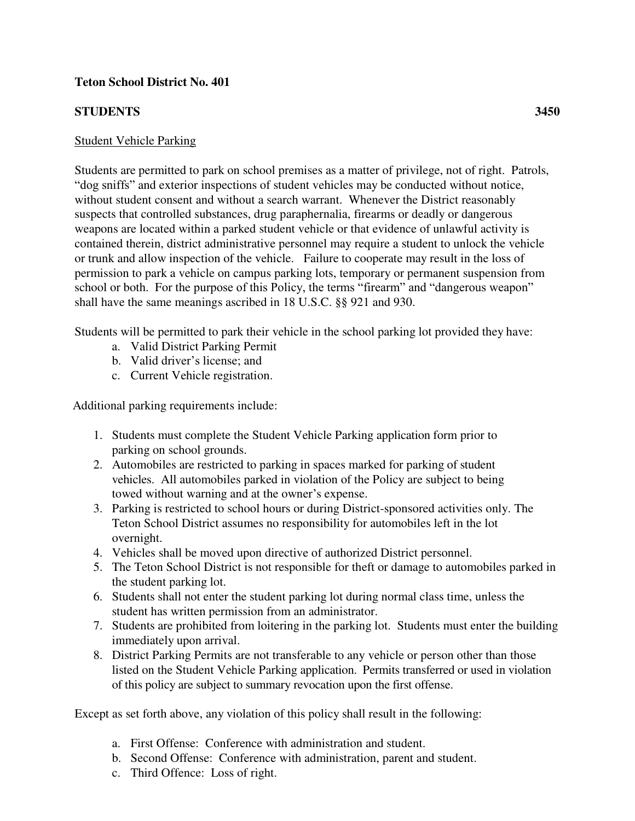## **Teton School District No. 401**

## **STUDENTS 3450**

## Student Vehicle Parking

Students are permitted to park on school premises as a matter of privilege, not of right. Patrols, "dog sniffs" and exterior inspections of student vehicles may be conducted without notice, without student consent and without a search warrant. Whenever the District reasonably suspects that controlled substances, drug paraphernalia, firearms or deadly or dangerous weapons are located within a parked student vehicle or that evidence of unlawful activity is contained therein, district administrative personnel may require a student to unlock the vehicle or trunk and allow inspection of the vehicle. Failure to cooperate may result in the loss of permission to park a vehicle on campus parking lots, temporary or permanent suspension from school or both. For the purpose of this Policy, the terms "firearm" and "dangerous weapon" shall have the same meanings ascribed in 18 U.S.C. §§ 921 and 930.

Students will be permitted to park their vehicle in the school parking lot provided they have:

- a. Valid District Parking Permit
- b. Valid driver's license; and
- c. Current Vehicle registration.

Additional parking requirements include:

- 1. Students must complete the Student Vehicle Parking application form prior to parking on school grounds.
- 2. Automobiles are restricted to parking in spaces marked for parking of student vehicles. All automobiles parked in violation of the Policy are subject to being towed without warning and at the owner's expense.
- 3. Parking is restricted to school hours or during District-sponsored activities only. The Teton School District assumes no responsibility for automobiles left in the lot overnight.
- 4. Vehicles shall be moved upon directive of authorized District personnel.
- 5. The Teton School District is not responsible for theft or damage to automobiles parked in the student parking lot.
- 6. Students shall not enter the student parking lot during normal class time, unless the student has written permission from an administrator.
- 7. Students are prohibited from loitering in the parking lot. Students must enter the building immediately upon arrival.
- 8. District Parking Permits are not transferable to any vehicle or person other than those listed on the Student Vehicle Parking application. Permits transferred or used in violation of this policy are subject to summary revocation upon the first offense.

Except as set forth above, any violation of this policy shall result in the following:

- a. First Offense: Conference with administration and student.
- b. Second Offense: Conference with administration, parent and student.
- c. Third Offence: Loss of right.